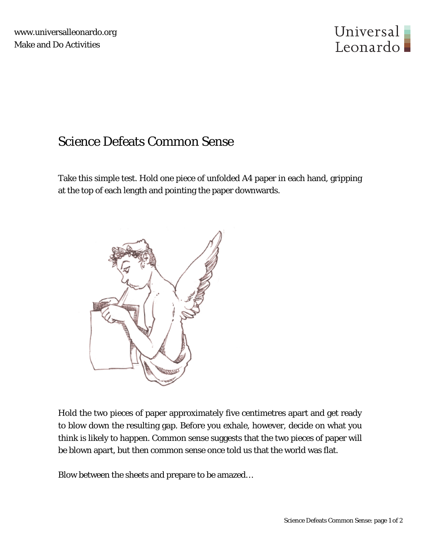

## Science Defeats Common Sense

Take this simple test. Hold one piece of unfolded A4 paper in each hand, gripping at the top of each length and pointing the paper downwards.



Hold the two pieces of paper approximately five centimetres apart and get ready to blow down the resulting gap. Before you exhale, however, decide on what you think is likely to happen. Common sense suggests that the two pieces of paper will be blown apart, but then common sense once told us that the world was flat.

Blow between the sheets and prepare to be amazed…